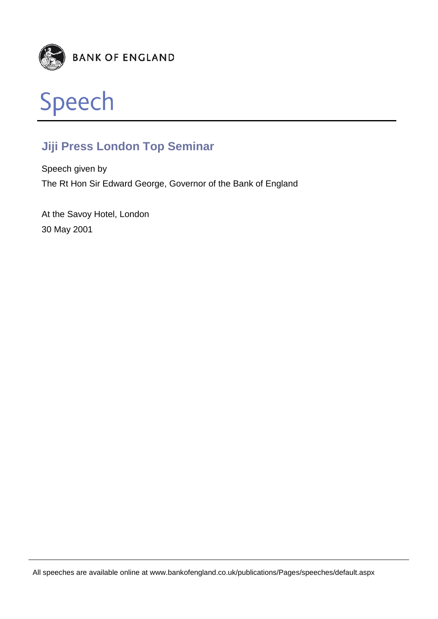



## **Jiji Press London Top Seminar**

Speech given by The Rt Hon Sir Edward George, Governor of the Bank of England

At the Savoy Hotel, London 30 May 2001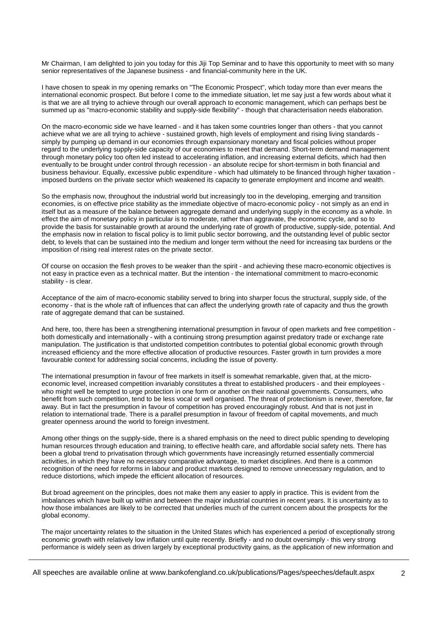Mr Chairman, I am delighted to join you today for this Jiji Top Seminar and to have this opportunity to meet with so many senior representatives of the Japanese business - and financial-community here in the UK.

I have chosen to speak in my opening remarks on "The Economic Prospect", which today more than ever means the international economic prospect. But before I come to the immediate situation, let me say just a few words about what it is that we are all trying to achieve through our overall approach to economic management, which can perhaps best be summed up as "macro-economic stability and supply-side flexibility" - though that characterisation needs elaboration.

On the macro-economic side we have learned - and it has taken some countries longer than others - that you cannot achieve what we are all trying to achieve - sustained growth, high levels of employment and rising living standards simply by pumping up demand in our economies through expansionary monetary and fiscal policies without proper regard to the underlying supply-side capacity of our economies to meet that demand. Short-term demand management through monetary policy too often led instead to accelerating inflation, and increasing external deficits, which had then eventually to be brought under control through recession - an absolute recipe for short-termism in both financial and business behaviour. Equally, excessive public expenditure - which had ultimately to be financed through higher taxation imposed burdens on the private sector which weakened its capacity to generate employment and income and wealth.

So the emphasis now, throughout the industrial world but increasingly too in the developing, emerging and transition economies, is on effective price stability as the immediate objective of macro-economic policy - not simply as an end in itself but as a measure of the balance between aggregate demand and underlying supply in the economy as a whole. In effect the aim of monetary policy in particular is to moderate, rather than aggravate, the economic cycle, and so to provide the basis for sustainable growth at around the underlying rate of growth of productive, supply-side, potential. And the emphasis now in relation to fiscal policy is to limit public sector borrowing, and the outstanding level of public sector debt, to levels that can be sustained into the medium and longer term without the need for increasing tax burdens or the imposition of rising real interest rates on the private sector.

Of course on occasion the flesh proves to be weaker than the spirit - and achieving these macro-economic objectives is not easy in practice even as a technical matter. But the intention - the international commitment to macro-economic stability - is clear.

Acceptance of the aim of macro-economic stability served to bring into sharper focus the structural, supply side, of the economy - that is the whole raft of influences that can affect the underlying growth rate of capacity and thus the growth rate of aggregate demand that can be sustained.

And here, too, there has been a strengthening international presumption in favour of open markets and free competition both domestically and internationally - with a continuing strong presumption against predatory trade or exchange rate manipulation. The justification is that undistorted competition contributes to potential global economic growth through increased efficiency and the more effective allocation of productive resources. Faster growth in turn provides a more favourable context for addressing social concerns, including the issue of poverty.

The international presumption in favour of free markets in itself is somewhat remarkable, given that, at the microeconomic level, increased competition invariably constitutes a threat to established producers - and their employees who might well be tempted to urge protection in one form or another on their national governments. Consumers, who benefit from such competition, tend to be less vocal or well organised. The threat of protectionism is never, therefore, far away. But in fact the presumption in favour of competition has proved encouragingly robust. And that is not just in relation to international trade. There is a parallel presumption in favour of freedom of capital movements, and much greater openness around the world to foreign investment.

Among other things on the supply-side, there is a shared emphasis on the need to direct public spending to developing human resources through education and training, to effective health care, and affordable social safety nets. There has been a global trend to privatisation through which governments have increasingly returned essentially commercial activities, in which they have no necessary comparative advantage, to market disciplines. And there is a common recognition of the need for reforms in labour and product markets designed to remove unnecessary regulation, and to reduce distortions, which impede the efficient allocation of resources.

But broad agreement on the principles, does not make them any easier to apply in practice. This is evident from the imbalances which have built up within and between the major industrial countries in recent years. It is uncertainty as to how those imbalances are likely to be corrected that underlies much of the current concern about the prospects for the global economy.

The major uncertainty relates to the situation in the United States which has experienced a period of exceptionally strong economic growth with relatively low inflation until quite recently. Briefly - and no doubt oversimply - this very strong performance is widely seen as driven largely by exceptional productivity gains, as the application of new information and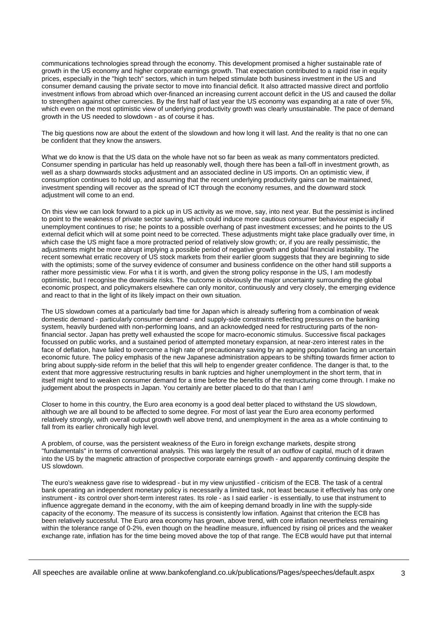communications technologies spread through the economy. This development promised a higher sustainable rate of growth in the US economy and higher corporate earnings growth. That expectation contributed to a rapid rise in equity prices, especially in the "high tech" sectors, which in turn helped stimulate both business investment in the US and consumer demand causing the private sector to move into financial deficit. It also attracted massive direct and portfolio investment inflows from abroad which over-financed an increasing current account deficit in the US and caused the dollar to strengthen against other currencies. By the first half of last year the US economy was expanding at a rate of over 5%, which even on the most optimistic view of underlying productivity growth was clearly unsustainable. The pace of demand growth in the US needed to slowdown - as of course it has.

The big questions now are about the extent of the slowdown and how long it will last. And the reality is that no one can be confident that they know the answers.

What we do know is that the US data on the whole have not so far been as weak as many commentators predicted. Consumer spending in particular has held up reasonably well, though there has been a fall-off in investment growth, as well as a sharp downwards stocks adjustment and an associated decline in US imports. On an optimistic view, if consumption continues to hold up, and assuming that the recent underlying productivity gains can be maintained, investment spending will recover as the spread of ICT through the economy resumes, and the downward stock adjustment will come to an end.

On this view we can look forward to a pick up in US activity as we move, say, into next year. But the pessimist is inclined to point to the weakness of private sector saving, which could induce more cautious consumer behaviour especially if unemployment continues to rise; he points to a possible overhang of past investment excesses; and he points to the US external deficit which will at some point need to be corrected. These adjustments might take place gradually over time, in which case the US might face a more protracted period of relatively slow growth; or, if you are really pessimistic, the adjustments might be more abrupt implying a possible period of negative growth and global financial instability. The recent somewhat erratic recovery of US stock markets from their earlier gloom suggests that they are beginning to side with the optimists; some of the survey evidence of consumer and business confidence on the other hand still supports a rather more pessimistic view. For wha t it is worth, and given the strong policy response in the US, I am modestly optimistic, but I recognise the downside risks. The outcome is obviously the major uncertainty surrounding the global economic prospect, and policymakers elsewhere can only monitor, continuously and very closely, the emerging evidence and react to that in the light of its likely impact on their own situation.

The US slowdown comes at a particularly bad time for Japan which is already suffering from a combination of weak domestic demand - particularly consumer demand - and supply-side constraints reflecting pressures on the banking system, heavily burdened with non-performing loans, and an acknowledged need for restructuring parts of the nonfinancial sector. Japan has pretty well exhausted the scope for macro-economic stimulus. Successive fiscal packages focussed on public works, and a sustained period of attempted monetary expansion, at near-zero interest rates in the face of deflation, have failed to overcome a high rate of precautionary saving by an ageing population facing an uncertain economic future. The policy emphasis of the new Japanese administration appears to be shifting towards firmer action to bring about supply-side reform in the belief that this will help to engender greater confidence. The danger is that, to the extent that more aggressive restructuring results in bank ruptcies and higher unemployment in the short term, that in itself might tend to weaken consumer demand for a time before the benefits of the restructuring come through. I make no judgement about the prospects in Japan. You certainly are better placed to do that than I am!

Closer to home in this country, the Euro area economy is a good deal better placed to withstand the US slowdown, although we are all bound to be affected to some degree. For most of last year the Euro area economy performed relatively strongly, with overall output growth well above trend, and unemployment in the area as a whole continuing to fall from its earlier chronically high level.

A problem, of course, was the persistent weakness of the Euro in foreign exchange markets, despite strong "fundamentals" in terms of conventional analysis. This was largely the result of an outflow of capital, much of it drawn into the US by the magnetic attraction of prospective corporate earnings growth - and apparently continuing despite the US slowdown.

The euro's weakness gave rise to widespread - but in my view unjustified - criticism of the ECB. The task of a central bank operating an independent monetary policy is necessarily a limited task, not least because it effectively has only one instrument - its control over short-term interest rates. Its role - as I said earlier - is essentially, to use that instrument to influence aggregate demand in the economy, with the aim of keeping demand broadly in line with the supply-side capacity of the economy. The measure of its success is consistently low inflation. Against that criterion the ECB has been relatively successful. The Euro area economy has grown, above trend, with core inflation nevertheless remaining within the tolerance range of 0-2%, even though on the headline measure, influenced by rising oil prices and the weaker exchange rate, inflation has for the time being moved above the top of that range. The ECB would have put that internal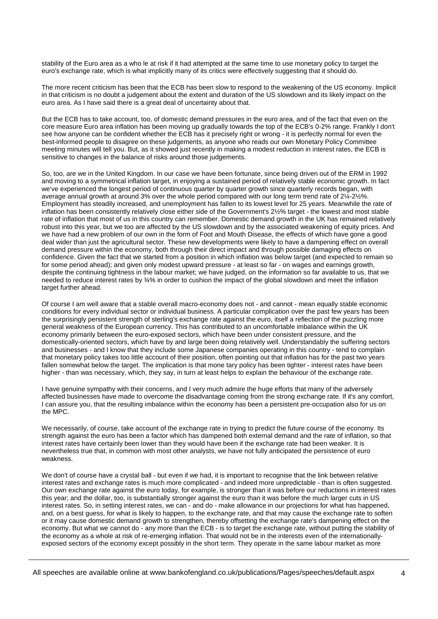stability of the Euro area as a who le at risk if it had attempted at the same time to use monetary policy to target the euro's exchange rate, which is what implicitly many of its critics were effectively suggesting that it should do.

The more recent criticism has been that the ECB has been slow to respond to the weakening of the US economy. Implicit in that criticism is no doubt a judgement about the extent and duration of the US slowdown and its likely impact on the euro area. As I have said there is a great deal of uncertainty about that.

But the ECB has to take account, too, of domestic demand pressures in the euro area, and of the fact that even on the core measure Euro area inflation has been moving up gradually towards the top of the ECB's 0-2% range. Frankly I don't see how anyone can be confident whether the ECB has it precisely right or wrong - it is perfectly normal for even the best-informed people to disagree on these judgements, as anyone who reads our own Monetary Policy Committee meeting minutes will tell you. But, as it showed just recently in making a modest reduction in interest rates, the ECB is sensitive to changes in the balance of risks around those judgements.

So, too, are we in the United Kingdom. In our case we have been fortunate, since being driven out of the ERM in 1992 and moving to a symmetrical inflation target, in enjoying a sustained period of relatively stable economic growth. In fact we've experienced the longest period of continuous quarter by quarter growth since quarterly records began, with average annual growth at around 3% over the whole period compared with our long term trend rate of 2¼-2½%. Employment has steadily increased, and unemployment has fallen to its lowest level for 25 years. Meanwhile the rate of inflation has been consistently relatively close either side of the Government's 2½% target - the lowest and most stable rate of inflation that most of us in this country can remember. Domestic demand growth in the UK has remained relatively robust into this year, but we too are affected by the US slowdown and by the associated weakening of equity prices. And we have had a new problem of our own in the form of Foot and Mouth Disease, the effects of which have gone a good deal wider than just the agricultural sector. These new developments were likely to have a dampening effect on overall demand pressure within the economy, both through their direct impact and through possible damaging effects on confidence. Given the fact that we started from a position in which inflation was below target (and expected to remain so for some period ahead); and given only modest upward pressure - at least so far - on wages and earnings growth, despite the continuing tightness in the labour market; we have judged, on the information so far available to us, that we needed to reduce interest rates by 34% in order to cushion the impact of the global slowdown and meet the inflation target further ahead.

Of course I am well aware that a stable overall macro-economy does not - and cannot - mean equally stable economic conditions for every individual sector or individual business. A particular complication over the past few years has been the surprisingly persistent strength of sterling's exchange rate against the euro, itself a reflection of the puzzling more general weakness of the European currency. This has contributed to an uncomfortable imbalance within the UK economy primarily between the euro-exposed sectors, which have been under consistent pressure, and the domestically-oriented sectors, which have by and large been doing relatively well. Understandably the suffering sectors and businesses - and I know that they include some Japanese companies operating in this country - tend to complain that monetary policy takes too little account of their position, often pointing out that inflation has for the past two years fallen somewhat below the target. The implication is that mone tary policy has been tighter - interest rates have been higher - than was necessary, which, they say, in turn at least helps to explain the behaviour of the exchange rate.

I have genuine sympathy with their concerns, and I very much admire the huge efforts that many of the adversely affected businesses have made to overcome the disadvantage coming from the strong exchange rate. If it's any comfort, I can assure you, that the resulting imbalance within the economy has been a persistent pre-occupation also for us on the MPC.

We necessarily, of course, take account of the exchange rate in trying to predict the future course of the economy. Its strength against the euro has been a factor which has dampened both external demand and the rate of inflation, so that interest rates have certainly been lower than they would have been if the exchange rate had been weaker. It is nevertheless true that, in common with most other analysts, we have not fully anticipated the persistence of euro weakness.

We don't of course have a crystal ball - but even if we had, it is important to recognise that the link between relative interest rates and exchange rates is much more complicated - and indeed more unpredictable - than is often suggested. Our own exchange rate against the euro today, for example, is stronger than it was before our reductions in interest rates this year; and the dollar, too, is substantially stronger against the euro than it was before the much larger cuts in US interest rates. So, in setting interest rates, we can - and do - make allowance in our projections for what has happened, and, on a best guess, for what is likely to happen, to the exchange rate, and that may cause the exchange rate to soften or it may cause domestic demand growth to strengthen, thereby offsetting the exchange rate's dampening effect on the economy. But what we cannot do - any more than the ECB - is to target the exchange rate, without putting the stability of the economy as a whole at risk of re-emerging inflation. That would not be in the interests even of the internationallyexposed sectors of the economy except possibly in the short term. They operate in the same labour market as more